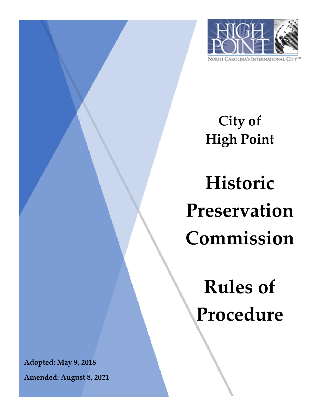

**City of High Point**

**Historic Preservation Commission**

**Rules of Procedure**

**Adopted: May 9, 2018**

**Amended: August 8, 2021**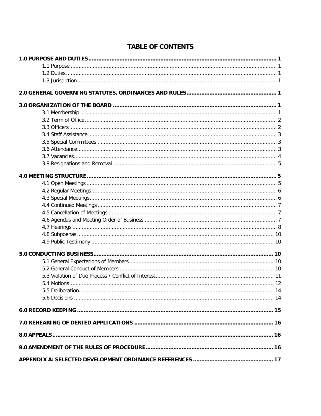| 5.5 Deliberation. |  |
|-------------------|--|
|                   |  |
|                   |  |
|                   |  |
|                   |  |
|                   |  |
|                   |  |

# **TABLE OF CONTENTS**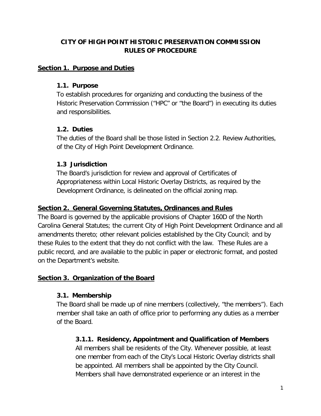# **CITY OF HIGH POINT HISTORIC PRESERVATION COMMISSION RULES OF PROCEDURE**

#### **Section 1. Purpose and Duties**

#### **1.1. Purpose**

To establish procedures for organizing and conducting the business of the Historic Preservation Commission ("HPC" or "the Board") in executing its duties and responsibilities.

## **1.2. Duties**

The duties of the Board shall be those listed in Section 2.2. Review Authorities, of the City of High Point Development Ordinance.

# **1.3 Jurisdiction**

The Board's jurisdiction for review and approval of Certificates of Appropriateness within Local Historic Overlay Districts, as required by the Development Ordinance, is delineated on the official zoning map.

### **Section 2. General Governing Statutes, Ordinances and Rules**

The Board is governed by the applicable provisions of Chapter 160D of the North Carolina General Statutes; the current City of High Point Development Ordinance and all amendments thereto; other relevant policies established by the City Council; and by these Rules to the extent that they do not conflict with the law. These Rules are a public record, and are available to the public in paper or electronic format, and posted on the Department's website.

## **Section 3. Organization of the Board**

## **3.1. Membership**

The Board shall be made up of nine members (collectively, "the members"). Each member shall take an oath of office prior to performing any duties as a member of the Board.

## **3.1.1. Residency, Appointment and Qualification of Members**

All members shall be residents of the City. Whenever possible, at least one member from each of the City's Local Historic Overlay districts shall be appointed. All members shall be appointed by the City Council. Members shall have demonstrated experience or an interest in the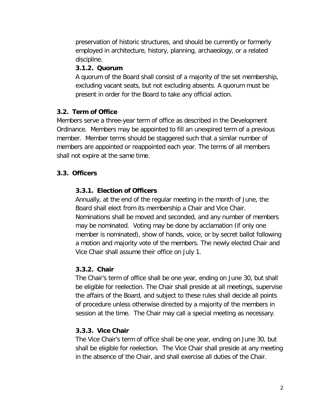preservation of historic structures, and should be currently or formerly employed in architecture, history, planning, archaeology, or a related discipline.

#### **3.1.2. Quorum**

A quorum of the Board shall consist of a majority of the set membership, excluding vacant seats, but not excluding absents. A quorum must be present in order for the Board to take any official action.

## **3.2. Term of Office**

Members serve a three-year term of office as described in the Development Ordinance. Members may be appointed to fill an unexpired term of a previous member. Member terms should be staggered such that a similar number of members are appointed or reappointed each year. The terms of all members shall not expire at the same time.

## **3.3. Officers**

## **3.3.1. Election of Officers**

Annually, at the end of the regular meeting in the month of June, the Board shall elect from its membership a Chair and Vice Chair. Nominations shall be moved and seconded, and any number of members may be nominated. Voting may be done by acclamation (if only one member is nominated), show of hands, voice, or by secret ballot following a motion and majority vote of the members. The newly elected Chair and Vice Chair shall assume their office on July 1.

#### **3.3.2. Chair**

The Chair's term of office shall be one year, ending on June 30, but shall be eligible for reelection. The Chair shall preside at all meetings, supervise the affairs of the Board, and subject to these rules shall decide all points of procedure unless otherwise directed by a majority of the members in session at the time. The Chair may call a special meeting as necessary.

## **3.3.3. Vice Chair**

The Vice Chair's term of office shall be one year, ending on June 30, but shall be eligible for reelection. The Vice Chair shall preside at any meeting in the absence of the Chair, and shall exercise all duties of the Chair.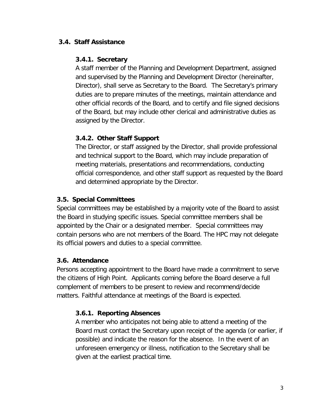### **3.4. Staff Assistance**

#### **3.4.1. Secretary**

A staff member of the Planning and Development Department, assigned and supervised by the Planning and Development Director (hereinafter, Director), shall serve as Secretary to the Board. The Secretary's primary duties are to prepare minutes of the meetings, maintain attendance and other official records of the Board, and to certify and file signed decisions of the Board, but may include other clerical and administrative duties as assigned by the Director.

## **3.4.2. Other Staff Support**

The Director, or staff assigned by the Director, shall provide professional and technical support to the Board, which may include preparation of meeting materials, presentations and recommendations, conducting official correspondence, and other staff support as requested by the Board and determined appropriate by the Director.

## **3.5. Special Committees**

Special committees may be established by a majority vote of the Board to assist the Board in studying specific issues. Special committee members shall be appointed by the Chair or a designated member. Special committees may contain persons who are not members of the Board. The HPC may not delegate its official powers and duties to a special committee.

## **3.6. Attendance**

Persons accepting appointment to the Board have made a commitment to serve the citizens of High Point. Applicants coming before the Board deserve a full complement of members to be present to review and recommend/decide matters. Faithful attendance at meetings of the Board is expected.

## **3.6.1. Reporting Absences**

A member who anticipates not being able to attend a meeting of the Board must contact the Secretary upon receipt of the agenda (or earlier, if possible) and indicate the reason for the absence. In the event of an unforeseen emergency or illness, notification to the Secretary shall be given at the earliest practical time.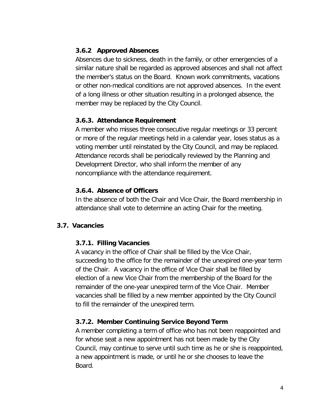### **3.6.2 Approved Absences**

Absences due to sickness, death in the family, or other emergencies of a similar nature shall be regarded as approved absences and shall not affect the member's status on the Board. Known work commitments, vacations or other non-medical conditions are not approved absences. In the event of a long illness or other situation resulting in a prolonged absence, the member may be replaced by the City Council.

### **3.6.3. Attendance Requirement**

A member who misses three consecutive regular meetings or 33 percent or more of the regular meetings held in a calendar year, loses status as a voting member until reinstated by the City Council, and may be replaced. Attendance records shall be periodically reviewed by the Planning and Development Director, who shall inform the member of any noncompliance with the attendance requirement.

### **3.6.4. Absence of Officers**

In the absence of both the Chair and Vice Chair, the Board membership in attendance shall vote to determine an acting Chair for the meeting.

## **3.7. Vacancies**

#### **3.7.1. Filling Vacancies**

A vacancy in the office of Chair shall be filled by the Vice Chair, succeeding to the office for the remainder of the unexpired one-year term of the Chair. A vacancy in the office of Vice Chair shall be filled by election of a new Vice Chair from the membership of the Board for the remainder of the one-year unexpired term of the Vice Chair. Member vacancies shall be filled by a new member appointed by the City Council to fill the remainder of the unexpired term.

## **3.7.2. Member Continuing Service Beyond Term**

A member completing a term of office who has not been reappointed and for whose seat a new appointment has not been made by the City Council, may continue to serve until such time as he or she is reappointed, a new appointment is made, or until he or she chooses to leave the Board.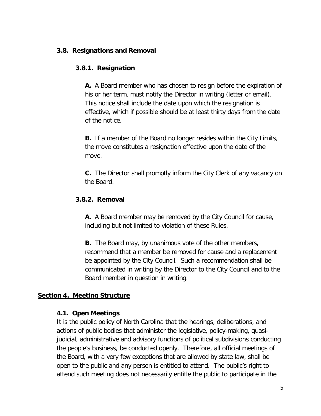#### **3.8. Resignations and Removal**

#### **3.8.1. Resignation**

**A.** A Board member who has chosen to resign before the expiration of his or her term, must notify the Director in writing (letter or email). This notice shall include the date upon which the resignation is effective, which if possible should be at least thirty days from the date of the notice.

**B.** If a member of the Board no longer resides within the City Limits, the move constitutes a resignation effective upon the date of the move.

**C.** The Director shall promptly inform the City Clerk of any vacancy on the Board.

### **3.8.2. Removal**

**A.** A Board member may be removed by the City Council for cause, including but not limited to violation of these Rules.

**B.** The Board may, by unanimous vote of the other members, recommend that a member be removed for cause and a replacement be appointed by the City Council. Such a recommendation shall be communicated in writing by the Director to the City Council and to the Board member in question in writing.

## **Section 4. Meeting Structure**

#### **4.1. Open Meetings**

It is the public policy of North Carolina that the hearings, deliberations, and actions of public bodies that administer the legislative, policy-making, quasijudicial, administrative and advisory functions of political subdivisions conducting the people's business, be conducted openly. Therefore, all official meetings of the Board, with a very few exceptions that are allowed by state law, shall be open to the public and any person is entitled to attend. The public's right to attend such meeting does not necessarily entitle the public to participate in the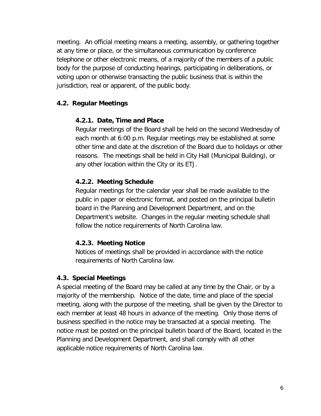meeting. An official meeting means a meeting, assembly, or gathering together at any time or place, or the simultaneous communication by conference telephone or other electronic means, of a majority of the members of a public body for the purpose of conducting hearings, participating in deliberations, or voting upon or otherwise transacting the public business that is within the jurisdiction, real or apparent, of the public body.

## **4.2. Regular Meetings**

### **4.2.1. Date, Time and Place**

Regular meetings of the Board shall be held on the second Wednesday of each month at 6:00 p.m. Regular meetings may be established at some other time and date at the discretion of the Board due to holidays or other reasons. The meetings shall be held in City Hall (Municipal Building), or any other location within the City or its ETJ.

### **4.2.2. Meeting Schedule**

Regular meetings for the calendar year shall be made available to the public in paper or electronic format, and posted on the principal bulletin board in the Planning and Development Department, and on the Department's website. Changes in the regular meeting schedule shall follow the notice requirements of North Carolina law.

#### **4.2.3. Meeting Notice**

Notices of meetings shall be provided in accordance with the notice requirements of North Carolina law.

#### **4.3. Special Meetings**

A special meeting of the Board may be called at any time by the Chair, or by a majority of the membership. Notice of the date, time and place of the special meeting, along with the purpose of the meeting, shall be given by the Director to each member at least 48 hours in advance of the meeting. Only those items of business specified in the notice may be transacted at a special meeting. The notice must be posted on the principal bulletin board of the Board, located in the Planning and Development Department, and shall comply with all other applicable notice requirements of North Carolina law.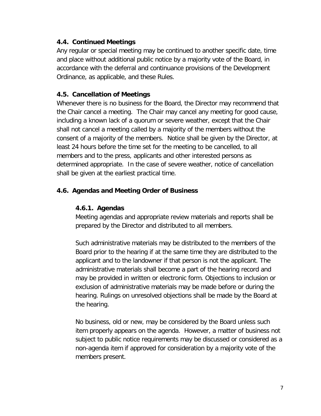### **4.4. Continued Meetings**

Any regular or special meeting may be continued to another specific date, time and place without additional public notice by a majority vote of the Board, in accordance with the deferral and continuance provisions of the Development Ordinance, as applicable, and these Rules.

## **4.5. Cancellation of Meetings**

Whenever there is no business for the Board, the Director may recommend that the Chair cancel a meeting. The Chair may cancel any meeting for good cause, including a known lack of a quorum or severe weather, except that the Chair shall not cancel a meeting called by a majority of the members without the consent of a majority of the members. Notice shall be given by the Director, at least 24 hours before the time set for the meeting to be cancelled, to all members and to the press, applicants and other interested persons as determined appropriate. In the case of severe weather, notice of cancellation shall be given at the earliest practical time.

## **4.6. Agendas and Meeting Order of Business**

#### **4.6.1. Agendas**

Meeting agendas and appropriate review materials and reports shall be prepared by the Director and distributed to all members.

Such administrative materials may be distributed to the members of the Board prior to the hearing if at the same time they are distributed to the applicant and to the landowner if that person is not the applicant. The administrative materials shall become a part of the hearing record and may be provided in written or electronic form. Objections to inclusion or exclusion of administrative materials may be made before or during the hearing. Rulings on unresolved objections shall be made by the Board at the hearing.

No business, old or new, may be considered by the Board unless such item properly appears on the agenda. However, a matter of business not subject to public notice requirements may be discussed or considered as a non-agenda item if approved for consideration by a majority vote of the members present.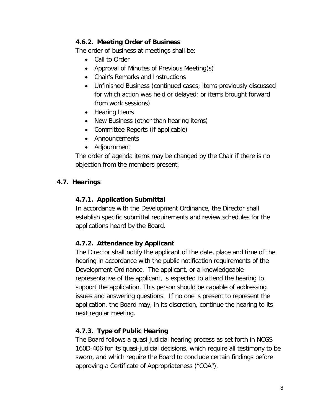## **4.6.2. Meeting Order of Business**

The order of business at meetings shall be:

- Call to Order
- Approval of Minutes of Previous Meeting(s)
- Chair's Remarks and Instructions
- Unfinished Business (continued cases; items previously discussed for which action was held or delayed; or items brought forward from work sessions)
- Hearing Items
- New Business (other than hearing items)
- Committee Reports (if applicable)
- Announcements
- Adjournment

The order of agenda items may be changed by the Chair if there is no objection from the members present.

## **4.7. Hearings**

### **4.7.1. Application Submittal**

In accordance with the Development Ordinance, the Director shall establish specific submittal requirements and review schedules for the applications heard by the Board.

## **4.7.2. Attendance by Applicant**

The Director shall notify the applicant of the date, place and time of the hearing in accordance with the public notification requirements of the Development Ordinance. The applicant, or a knowledgeable representative of the applicant, is expected to attend the hearing to support the application. This person should be capable of addressing issues and answering questions. If no one is present to represent the application, the Board may, in its discretion, continue the hearing to its next regular meeting.

## **4.7.3. Type of Public Hearing**

The Board follows a quasi-judicial hearing process as set forth in NCGS 160D-406 for its quasi-judicial decisions, which require all testimony to be sworn, and which require the Board to conclude certain findings before approving a Certificate of Appropriateness ("COA").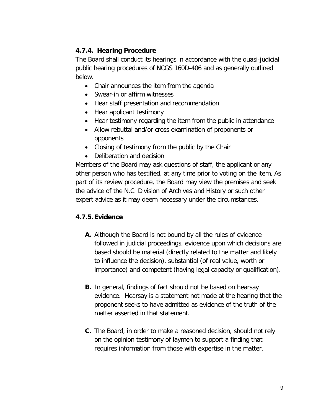# **4.7.4. Hearing Procedure**

The Board shall conduct its hearings in accordance with the quasi-judicial public hearing procedures of NCGS 160D-406 and as generally outlined below.

- Chair announces the item from the agenda
- Swear-in or affirm witnesses
- Hear staff presentation and recommendation
- Hear applicant testimony
- Hear testimony regarding the item from the public in attendance
- Allow rebuttal and/or cross examination of proponents or opponents
- Closing of testimony from the public by the Chair
- Deliberation and decision

Members of the Board may ask questions of staff, the applicant or any other person who has testified, at any time prior to voting on the item. As part of its review procedure, the Board may view the premises and seek the advice of the N.C. Division of Archives and History or such other expert advice as it may deem necessary under the circumstances.

## **4.7.5.Evidence**

- **A.** Although the Board is not bound by all the rules of evidence followed in judicial proceedings, evidence upon which decisions are based should be material (directly related to the matter and likely to influence the decision), substantial (of real value, worth or importance) and competent (having legal capacity or qualification).
- **B.** In general, findings of fact should not be based on hearsay evidence. Hearsay is a statement not made at the hearing that the proponent seeks to have admitted as evidence of the truth of the matter asserted in that statement.
- **C.** The Board, in order to make a reasoned decision, should not rely on the opinion testimony of laymen to support a finding that requires information from those with expertise in the matter.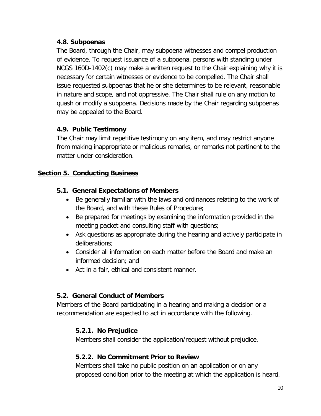### **4.8. Subpoenas**

The Board, through the Chair, may subpoena witnesses and compel production of evidence. To request issuance of a subpoena, persons with standing under NCGS 160D-1402(c) may make a written request to the Chair explaining why it is necessary for certain witnesses or evidence to be compelled. The Chair shall issue requested subpoenas that he or she determines to be relevant, reasonable in nature and scope, and not oppressive. The Chair shall rule on any motion to quash or modify a subpoena. Decisions made by the Chair regarding subpoenas may be appealed to the Board.

## **4.9. Public Testimony**

The Chair may limit repetitive testimony on any item, and may restrict anyone from making inappropriate or malicious remarks, or remarks not pertinent to the matter under consideration.

## **Section 5. Conducting Business**

### **5.1. General Expectations of Members**

- Be generally familiar with the laws and ordinances relating to the work of the Board, and with these Rules of Procedure;
- Be prepared for meetings by examining the information provided in the meeting packet and consulting staff with questions;
- Ask questions as appropriate during the hearing and actively participate in deliberations;
- Consider all information on each matter before the Board and make an informed decision; and
- Act in a fair, ethical and consistent manner.

#### **5.2. General Conduct of Members**

Members of the Board participating in a hearing and making a decision or a recommendation are expected to act in accordance with the following.

## **5.2.1. No Prejudice**

Members shall consider the application/request without prejudice.

#### **5.2.2. No Commitment Prior to Review**

Members shall take no public position on an application or on any proposed condition prior to the meeting at which the application is heard.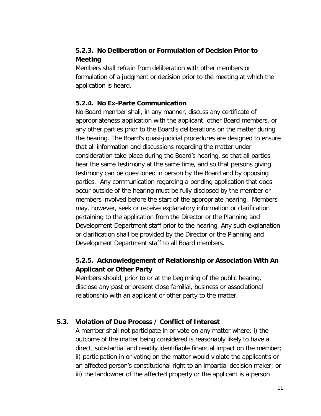# **5.2.3. No Deliberation or Formulation of Decision Prior to Meeting**

Members shall refrain from deliberation with other members or formulation of a judgment or decision prior to the meeting at which the application is heard.

### **5.2.4. No Ex-Parte Communication**

No Board member shall, in any manner, discuss any certificate of appropriateness application with the applicant, other Board members, or any other parties prior to the Board's deliberations on the matter during the hearing. The Board's quasi-judicial procedures are designed to ensure that all information and discussions regarding the matter under consideration take place during the Board's hearing, so that all parties hear the same testimony at the same time, and so that persons giving testimony can be questioned in person by the Board and by opposing parties. Any communication regarding a pending application that does occur outside of the hearing must be fully disclosed by the member or members involved before the start of the appropriate hearing. Members may, however, seek or receive explanatory information or clarification pertaining to the application from the Director or the Planning and Development Department staff prior to the hearing. Any such explanation or clarification shall be provided by the Director or the Planning and Development Department staff to all Board members.

# **5.2.5. Acknowledgement of Relationship or Association With An Applicant or Other Party**

Members should, prior to or at the beginning of the public hearing, disclose any past or present close familial, business or associational relationship with an applicant or other party to the matter.

## **5.3. Violation of Due Process / Conflict of Interest**

A member shall not participate in or vote on any matter where: i) the outcome of the matter being considered is reasonably likely to have a direct, substantial and readily identifiable financial impact on the member; ii) participation in or voting on the matter would violate the applicant's or an affected person's constitutional right to an impartial decision maker; or iii) the landowner of the affected property or the applicant is a person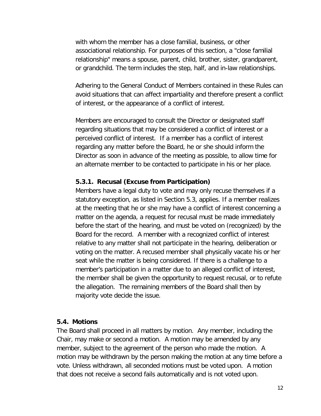with whom the member has a close familial, business, or other associational relationship. For purposes of this section, a "close familial relationship" means a spouse, parent, child, brother, sister, grandparent, or grandchild. The term includes the step, half, and in-law relationships.

Adhering to the General Conduct of Members contained in these Rules can avoid situations that can affect impartiality and therefore present a conflict of interest, or the appearance of a conflict of interest.

Members are encouraged to consult the Director or designated staff regarding situations that may be considered a conflict of interest or a perceived conflict of interest. If a member has a conflict of interest regarding any matter before the Board, he or she should inform the Director as soon in advance of the meeting as possible, to allow time for an alternate member to be contacted to participate in his or her place.

#### **5.3.1. Recusal (Excuse from Participation)**

Members have a legal duty to vote and may only recuse themselves if a statutory exception, as listed in Section 5.3, applies. If a member realizes at the meeting that he or she may have a conflict of interest concerning a matter on the agenda, a request for recusal must be made immediately before the start of the hearing, and must be voted on (recognized) by the Board for the record. A member with a recognized conflict of interest relative to any matter shall not participate in the hearing, deliberation or voting on the matter. A recused member shall physically vacate his or her seat while the matter is being considered. If there is a challenge to a member's participation in a matter due to an alleged conflict of interest, the member shall be given the opportunity to request recusal, or to refute the allegation. The remaining members of the Board shall then by majority vote decide the issue.

#### **5.4. Motions**

The Board shall proceed in all matters by motion. Any member, including the Chair, may make or second a motion. A motion may be amended by any member, subject to the agreement of the person who made the motion. A motion may be withdrawn by the person making the motion at any time before a vote. Unless withdrawn, all seconded motions must be voted upon. A motion that does not receive a second fails automatically and is not voted upon.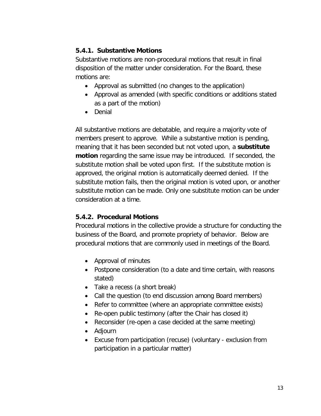## **5.4.1. Substantive Motions**

Substantive motions are non-procedural motions that result in final disposition of the matter under consideration. For the Board, these motions are:

- Approval as submitted (no changes to the application)
- Approval as amended (with specific conditions or additions stated as a part of the motion)
- Denial

All substantive motions are debatable, and require a majority vote of members present to approve. While a substantive motion is pending, meaning that it has been seconded but not voted upon, a **substitute motion** regarding the same issue may be introduced. If seconded, the substitute motion shall be voted upon first. If the substitute motion is approved, the original motion is automatically deemed denied. If the substitute motion fails, then the original motion is voted upon, or another substitute motion can be made. Only one substitute motion can be under consideration at a time.

## **5.4.2. Procedural Motions**

Procedural motions in the collective provide a structure for conducting the business of the Board, and promote propriety of behavior. Below are procedural motions that are commonly used in meetings of the Board.

- Approval of minutes
- Postpone consideration (to a date and time certain, with reasons stated)
- Take a recess (a short break)
- Call the question (to end discussion among Board members)
- Refer to committee (where an appropriate committee exists)
- Re-open public testimony (after the Chair has closed it)
- Reconsider (re-open a case decided at the same meeting)
- Adjourn
- Excuse from participation (recuse) (voluntary exclusion from participation in a particular matter)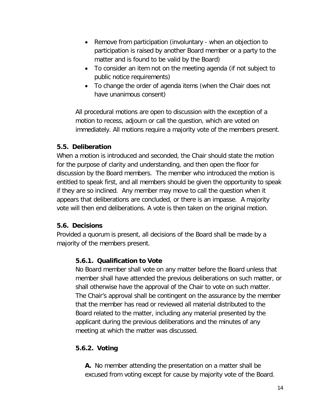- Remove from participation (involuntary when an objection to participation is raised by another Board member or a party to the matter and is found to be valid by the Board)
- To consider an item not on the meeting agenda (if not subject to public notice requirements)
- To change the order of agenda items (when the Chair does not have unanimous consent)

All procedural motions are open to discussion with the exception of a motion to recess, adjourn or call the question, which are voted on immediately. All motions require a majority vote of the members present.

### **5.5. Deliberation**

When a motion is introduced and seconded, the Chair should state the motion for the purpose of clarity and understanding, and then open the floor for discussion by the Board members. The member who introduced the motion is entitled to speak first, and all members should be given the opportunity to speak if they are so inclined. Any member may move to call the question when it appears that deliberations are concluded, or there is an impasse. A majority vote will then end deliberations. A vote is then taken on the original motion.

## **5.6. Decisions**

Provided a quorum is present, all decisions of the Board shall be made by a majority of the members present.

## **5.6.1. Qualification to Vote**

No Board member shall vote on any matter before the Board unless that member shall have attended the previous deliberations on such matter, or shall otherwise have the approval of the Chair to vote on such matter. The Chair's approval shall be contingent on the assurance by the member that the member has read or reviewed all material distributed to the Board related to the matter, including any material presented by the applicant during the previous deliberations and the minutes of any meeting at which the matter was discussed.

# **5.6.2. Voting**

**A.** No member attending the presentation on a matter shall be excused from voting except for cause by majority vote of the Board.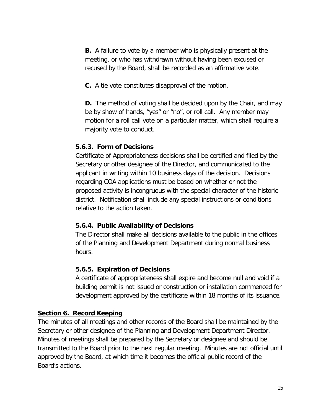**B.** A failure to vote by a member who is physically present at the meeting, or who has withdrawn without having been excused or recused by the Board, shall be recorded as an affirmative vote.

**C.** A tie vote constitutes disapproval of the motion.

**D.** The method of voting shall be decided upon by the Chair, and may be by show of hands, "yes" or "no", or roll call. Any member may motion for a roll call vote on a particular matter, which shall require a majority vote to conduct.

#### **5.6.3. Form of Decisions**

Certificate of Appropriateness decisions shall be certified and filed by the Secretary or other designee of the Director, and communicated to the applicant in writing within 10 business days of the decision. Decisions regarding COA applications must be based on whether or not the proposed activity is incongruous with the special character of the historic district. Notification shall include any special instructions or conditions relative to the action taken.

#### **5.6.4. Public Availability of Decisions**

The Director shall make all decisions available to the public in the offices of the Planning and Development Department during normal business hours.

#### **5.6.5. Expiration of Decisions**

A certificate of appropriateness shall expire and become null and void if a building permit is not issued or construction or installation commenced for development approved by the certificate within 18 months of its issuance.

#### **Section 6. Record Keeping**

The minutes of all meetings and other records of the Board shall be maintained by the Secretary or other designee of the Planning and Development Department Director. Minutes of meetings shall be prepared by the Secretary or designee and should be transmitted to the Board prior to the next regular meeting. Minutes are not official until approved by the Board, at which time it becomes the official public record of the Board's actions.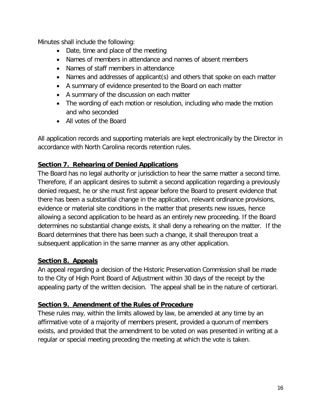Minutes shall include the following:

- Date, time and place of the meeting
- Names of members in attendance and names of absent members
- Names of staff members in attendance
- Names and addresses of applicant(s) and others that spoke on each matter
- A summary of evidence presented to the Board on each matter
- A summary of the discussion on each matter
- The wording of each motion or resolution, including who made the motion and who seconded
- All votes of the Board

All application records and supporting materials are kept electronically by the Director in accordance with North Carolina records retention rules.

# **Section 7. Rehearing of Denied Applications**

The Board has no legal authority or jurisdiction to hear the same matter a second time. Therefore, if an applicant desires to submit a second application regarding a previously denied request, he or she must first appear before the Board to present evidence that there has been a substantial change in the application, relevant ordinance provisions, evidence or material site conditions in the matter that presents new issues, hence allowing a second application to be heard as an entirely new proceeding. If the Board determines no substantial change exists, it shall deny a rehearing on the matter. If the Board determines that there has been such a change, it shall thereupon treat a subsequent application in the same manner as any other application.

# **Section 8. Appeals**

An appeal regarding a decision of the Historic Preservation Commission shall be made to the City of High Point Board of Adjustment within 30 days of the receipt by the appealing party of the written decision. The appeal shall be in the nature of certiorari.

# **Section 9. Amendment of the Rules of Procedure**

These rules may, within the limits allowed by law, be amended at any time by an affirmative vote of a majority of members present, provided a quorum of members exists, and provided that the amendment to be voted on was presented in writing at a regular or special meeting preceding the meeting at which the vote is taken.